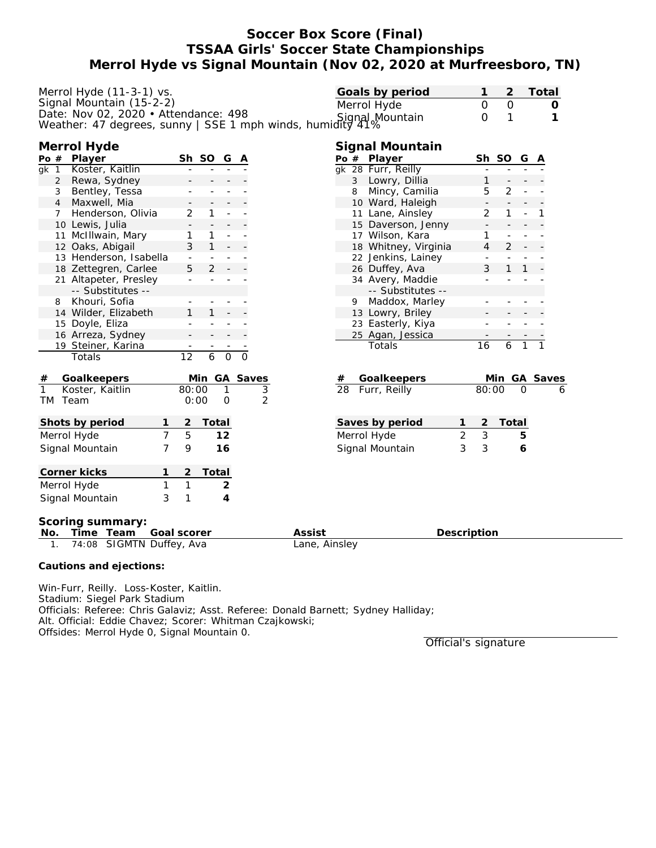# **Soccer Box Score (Final) TSSAA Girls' Soccer State Championships Merrol Hyde vs Signal Mountain (Nov 02, 2020 at Murfreesboro, TN)**

| Merrol Hyde (11-3-1) vs.<br>Signal Mountain (15-2-2)<br>Date: Nov 02, 2020 • Attendance: 498<br>Date: Nov U2, 2020 • Attendance: 498<br>Weather: 47 degrees, sunny   SSE 1 mph winds, humidity 41% |                                                                                                                   | Goals by period<br>Merrol Hyde                                                      | Total<br>2<br>$\mathbf 0$<br>$\mathbf 0$<br>O<br>1<br>$\mathbf 0$<br>1 |
|----------------------------------------------------------------------------------------------------------------------------------------------------------------------------------------------------|-------------------------------------------------------------------------------------------------------------------|-------------------------------------------------------------------------------------|------------------------------------------------------------------------|
| Merrol Hyde<br>Po#<br>Player<br>Koster, Kaitlin<br>gk 1<br>Rewa, Sydney<br>2                                                                                                                       | Sh SO G A                                                                                                         | Signal Mountain<br>Po # Player<br>gk 28 Furr, Reilly<br>3 Lowry, Dillia             | Sh SO<br>G<br>A<br>1                                                   |
| Bentley, Tessa<br>3<br>4 Maxwell, Mia<br>7 Henderson, Olivia                                                                                                                                       | 2<br>1                                                                                                            | Mincy, Camilia<br>8<br>10 Ward, Haleigh<br>11 Lane, Ainsley                         | 5<br>2<br>2<br>1                                                       |
| 10 Lewis, Julia<br>11 McIllwain, Mary<br>12 Oaks, Abigail<br>13 Henderson, Isabella                                                                                                                | 1<br>3<br>$\overline{\phantom{a}}$                                                                                | 15 Daverson, Jenny<br>17 Wilson, Kara<br>18 Whitney, Virginia<br>22 Jenkins, Lainey | 1<br>4<br>2                                                            |
| 18 Zettegren, Carlee<br>21 Altapeter, Presley<br>-- Substitutes --<br>Khouri, Sofia<br>8                                                                                                           | 5<br>$\mathcal{P}$                                                                                                | 26 Duffey, Ava<br>34 Avery, Maddie<br>-- Substitutes --<br>9 Maddox, Marley         | 3                                                                      |
| 14 Wilder, Elizabeth<br>15 Doyle, Eliza<br>16 Arreza, Sydney<br>19 Steiner, Karina                                                                                                                 |                                                                                                                   | 13 Lowry, Briley<br>23 Easterly, Kiya<br>25 Agan, Jessica<br>Totals                 | 16<br>1<br>6<br>1                                                      |
| Totals<br>Goalkeepers<br>#<br>$\mathbf{1}$<br>Koster, Kaitlin<br>TM Team                                                                                                                           | $\overline{12}$<br>$\mathsf{O}$<br>$\circ$<br>6<br>Min GA Saves<br>80:00<br>3<br>1<br>$\overline{2}$<br>0:00<br>O | Goalkeepers<br>#<br>Furr, Reilly<br>28                                              | Min GA Saves<br>80:00<br>O                                             |
| Shots by period<br>1<br>$\overline{7}$<br>Merrol Hyde<br>7<br>Signal Mountain                                                                                                                      | 2<br>Total<br>5<br>12<br>9<br>16                                                                                  | Saves by period<br>Merrol Hyde<br>3<br>Signal Mountain                              | 2<br>Total<br>$\overline{2}$<br>$\mathfrak{Z}$<br>5<br>3<br>6          |
| Corner kicks<br>1<br>Merrol Hyde<br>1<br>3<br>Signal Mountain                                                                                                                                      | Total<br>2<br>$\mathbf{1}$<br>$\overline{c}$<br>1<br>4                                                            |                                                                                     |                                                                        |
| Scoring summary:<br>Time Team<br><u>No</u> .<br>74:08 SIGMTN Duffey, Ava<br>1.                                                                                                                     | Goal scorer                                                                                                       | Assist<br>Lane, Ainsley                                                             | Description                                                            |
| Cautions and ejections:                                                                                                                                                                            |                                                                                                                   |                                                                                     |                                                                        |

Win-Furr, Reilly. Loss-Koster, Kaitlin. Stadium: Siegel Park Stadium Officials: Referee: Chris Galaviz; Asst. Referee: Donald Barnett; Sydney Halliday; Alt. Official: Eddie Chavez; Scorer: Whitman Czajkowski; Offsides: Merrol Hyde 0, Signal Mountain 0.

Official's signature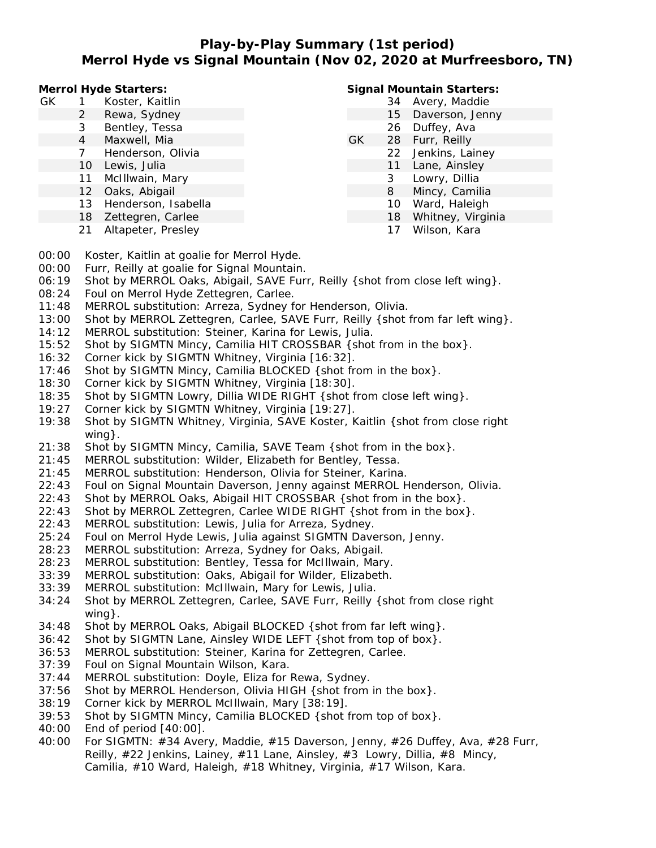## **Play-by-Play Summary (1st period) Merrol Hyde vs Signal Mountain (Nov 02, 2020 at Murfreesboro, TN)**

**Merrol Hyde Starters:**

- GK 1 Koster, Kaitlin
	- 2 Rewa, Sydney
	- 3 Bentley, Tessa
	- 4 Maxwell, Mia
	- 7 Henderson, Olivia
	- 10 Lewis, Julia
	- 11 McIllwain, Mary
	- 12 Oaks, Abigail
	- 13 Henderson, Isabella
	- 18 Zettegren, Carlee
	- 21 Altapeter, Presley

#### **Signal Mountain Starters:**

- 34 Avery, Maddie
- 15 Daverson, Jenny 26 Duffey, Ava
- GK 28 Furr, Reilly
	- 22 Jenkins, Lainey
	- 11 Lane, Ainsley
		- 3 Lowry, Dillia
		- 8 Mincy, Camilia
		- 10 Ward, Haleigh
		- 18 Whitney, Virginia
		- 17 Wilson, Kara
- 00:00 Koster, Kaitlin at goalie for Merrol Hyde.
- 00:00 Furr, Reilly at goalie for Signal Mountain.
- 06:19 Shot by MERROL Oaks, Abigail, SAVE Furr, Reilly {shot from close left wing}.
- 08:24 Foul on Merrol Hyde Zettegren, Carlee.
- 11:48 MERROL substitution: Arreza, Sydney for Henderson, Olivia.
- 13:00 Shot by MERROL Zettegren, Carlee, SAVE Furr, Reilly {shot from far left wing}.
- 14:12 MERROL substitution: Steiner, Karina for Lewis, Julia.
- 15:52 Shot by SIGMTN Mincy, Camilia HIT CROSSBAR {shot from in the box}.
- 16:32 Corner kick by SIGMTN Whitney, Virginia [16:32].
- 17:46 Shot by SIGMTN Mincy, Camilia BLOCKED {shot from in the box}.
- 18:30 Corner kick by SIGMTN Whitney, Virginia [18:30].
- 18:35 Shot by SIGMTN Lowry, Dillia WIDE RIGHT {shot from close left wing}.
- 19:27 Corner kick by SIGMTN Whitney, Virginia [19:27].
- 19:38 Shot by SIGMTN Whitney, Virginia, SAVE Koster, Kaitlin {shot from close right wing}.
- 21:38 Shot by SIGMTN Mincy, Camilia, SAVE Team {shot from in the box}.
- 21:45 MERROL substitution: Wilder, Elizabeth for Bentley, Tessa.
- 21:45 MERROL substitution: Henderson, Olivia for Steiner, Karina.
- 22:43 Foul on Signal Mountain Daverson, Jenny against MERROL Henderson, Olivia.
- 22:43 Shot by MERROL Oaks, Abigail HIT CROSSBAR {shot from in the box}.
- 22:43 Shot by MERROL Zettegren, Carlee WIDE RIGHT { shot from in the box}.
- 22:43 MERROL substitution: Lewis, Julia for Arreza, Sydney.
- 25:24 Foul on Merrol Hyde Lewis, Julia against SIGMTN Daverson, Jenny.
- 28:23 MERROL substitution: Arreza, Sydney for Oaks, Abigail.
- 28:23 MERROL substitution: Bentley, Tessa for McIllwain, Mary.
- 33:39 MERROL substitution: Oaks, Abigail for Wilder, Elizabeth.
- 33:39 MERROL substitution: McIllwain, Mary for Lewis, Julia.
- 34:24 Shot by MERROL Zettegren, Carlee, SAVE Furr, Reilly {shot from close right wing}.
- 34:48 Shot by MERROL Oaks, Abigail BLOCKED {shot from far left wing}.
- 36:42 Shot by SIGMTN Lane, Ainsley WIDE LEFT {shot from top of box}.
- 36:53 MERROL substitution: Steiner, Karina for Zettegren, Carlee.
- 37:39 Foul on Signal Mountain Wilson, Kara.
- 37:44 MERROL substitution: Doyle, Eliza for Rewa, Sydney.
- 37:56 Shot by MERROL Henderson, Olivia HIGH {shot from in the box}.
- 38:19 Corner kick by MERROL McIllwain, Mary [38:19].
- 39:53 Shot by SIGMTN Mincy, Camilia BLOCKED {shot from top of box}.
- 40:00 End of period [40:00].
- 40:00 For SIGMTN: #34 Avery, Maddie, #15 Daverson, Jenny, #26 Duffey, Ava, #28 Furr, Reilly, #22 Jenkins, Lainey, #11 Lane, Ainsley, #3 Lowry, Dillia, #8 Mincy, Camilia, #10 Ward, Haleigh, #18 Whitney, Virginia, #17 Wilson, Kara.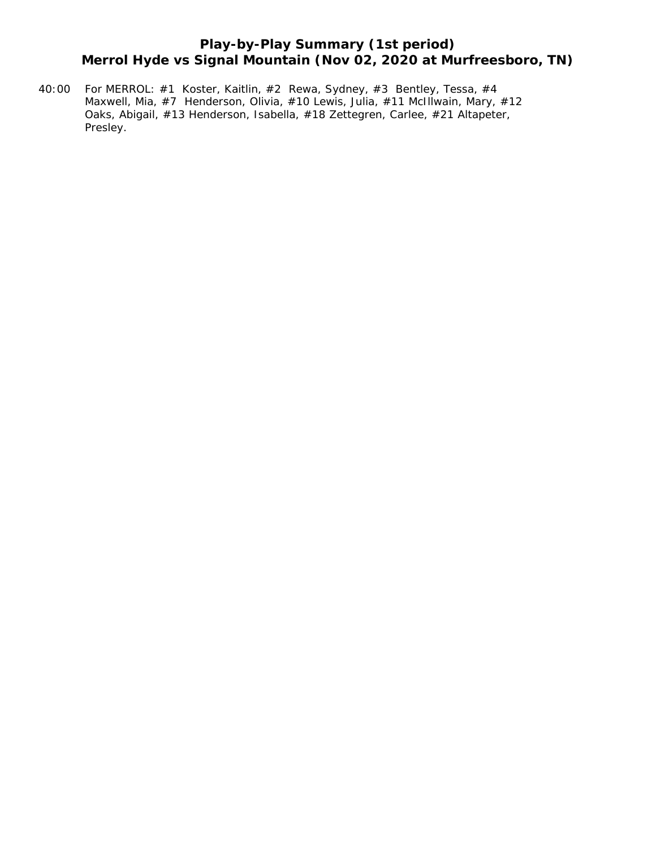# **Play-by-Play Summary (1st period) Merrol Hyde vs Signal Mountain (Nov 02, 2020 at Murfreesboro, TN)**

40:00 For MERROL: #1 Koster, Kaitlin, #2 Rewa, Sydney, #3 Bentley, Tessa, #4 Maxwell, Mia, #7 Henderson, Olivia, #10 Lewis, Julia, #11 McIllwain, Mary, #12 Oaks, Abigail, #13 Henderson, Isabella, #18 Zettegren, Carlee, #21 Altapeter, Presley.